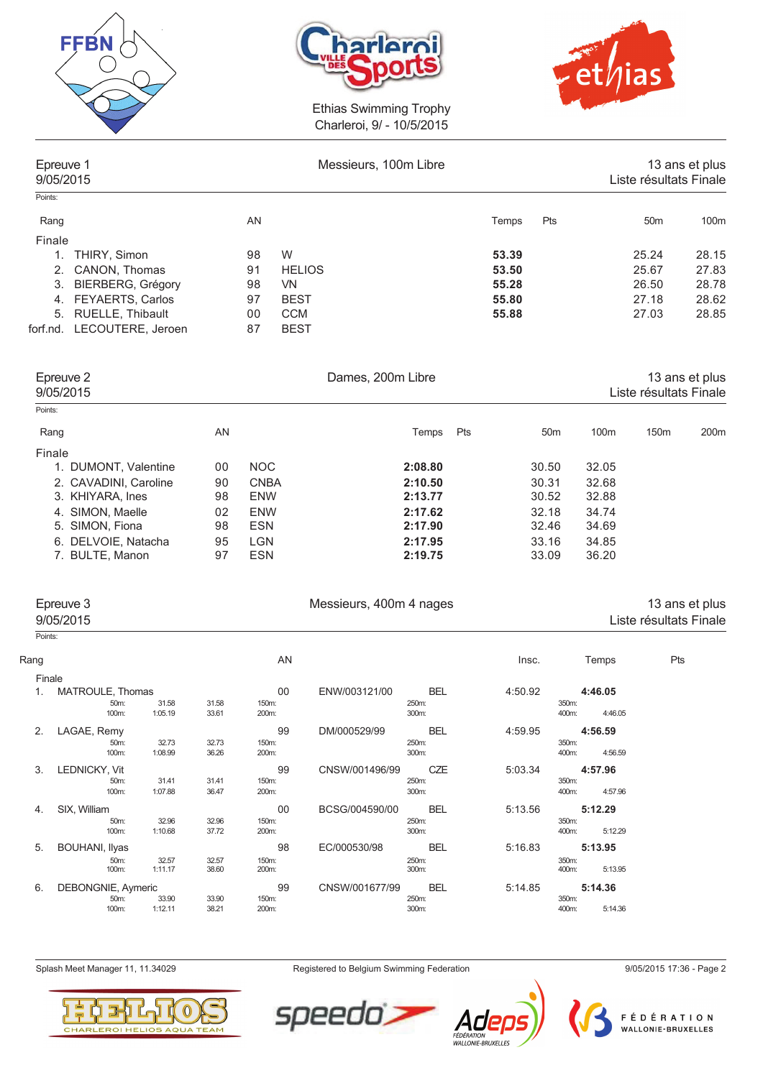





| Epreuve 1<br>9/05/2015 |                          |    | Messieurs, 100m Libre |       |     | Liste résultats Finale | 13 ans et plus |
|------------------------|--------------------------|----|-----------------------|-------|-----|------------------------|----------------|
| Points:                |                          |    |                       |       |     |                        |                |
| Rang                   |                          | AN |                       | Temps | Pts | 50 <sub>m</sub>        | 100m           |
| Finale                 |                          |    |                       |       |     |                        |                |
| 1.                     | THIRY, Simon             | 98 | W                     | 53.39 |     | 25.24                  | 28.15          |
| 2.                     | CANON, Thomas            | 91 | <b>HELIOS</b>         | 53.50 |     | 25.67                  | 27.83          |
| 3.                     | <b>BIERBERG, Grégory</b> | 98 | VN.                   | 55.28 |     | 26.50                  | 28.78          |
| 4.                     | <b>FEYAERTS, Carlos</b>  | 97 | <b>BEST</b>           | 55.80 |     | 27.18                  | 28.62          |
|                        | 5. RUELLE, Thibault      | 00 | <b>CCM</b>            | 55.88 |     | 27.03                  | 28.85          |
| forf.nd.               | LECOUTERE, Jeroen        | 87 | <b>BEST</b>           |       |     |                        |                |
|                        |                          |    |                       |       |     |                        |                |
|                        |                          |    |                       |       |     |                        |                |

| Epreuve 2<br>9/05/2015 |    |             | Dames, 200m Libre | 13 ans et plus<br>Liste résultats Finale |                 |       |                  |                  |
|------------------------|----|-------------|-------------------|------------------------------------------|-----------------|-------|------------------|------------------|
| Points:                |    |             |                   |                                          |                 |       |                  |                  |
| Rang                   | AN |             | Temps             | Pts                                      | 50 <sub>m</sub> | 100m  | 150 <sub>m</sub> | 200 <sub>m</sub> |
| Finale                 |    |             |                   |                                          |                 |       |                  |                  |
| 1. DUMONT, Valentine   | 00 | <b>NOC</b>  | 2:08.80           |                                          | 30.50           | 32.05 |                  |                  |
| 2. CAVADINI, Caroline  | 90 | <b>CNBA</b> | 2:10.50           |                                          | 30.31           | 32.68 |                  |                  |
| 3. KHIYARA, Ines       | 98 | <b>ENW</b>  | 2:13.77           |                                          | 30.52           | 32.88 |                  |                  |
| 4. SIMON, Maelle       | 02 | <b>ENW</b>  | 2:17.62           |                                          | 32.18           | 34.74 |                  |                  |
| 5. SIMON, Fiona        | 98 | <b>ESN</b>  | 2:17.90           |                                          | 32.46           | 34.69 |                  |                  |
| 6. DELVOIE, Natacha    | 95 | <b>LGN</b>  | 2:17.95           |                                          | 33.16           | 34.85 |                  |                  |
| 7. BULTE, Manon        | 97 | <b>ESN</b>  | 2:19.75           |                                          | 33.09           | 36.20 |                  |                  |

| Epreuve 3<br>9/05/2015 | Messieurs, 400m 4 nages |       |       | 13 ans et plus<br>Liste résultats Finale |
|------------------------|-------------------------|-------|-------|------------------------------------------|
| Points:                |                         |       |       |                                          |
| Rang                   | AN                      | Insc. | Temps | Pts                                      |

| Finale |                       |       |         |       |       |                |            |         |       |         |
|--------|-----------------------|-------|---------|-------|-------|----------------|------------|---------|-------|---------|
| 1.     | MATROULE, Thomas      |       |         |       | 00    | ENW/003121/00  | <b>BEL</b> | 4:50.92 |       | 4:46.05 |
|        |                       | 50m:  | 31.58   | 31.58 | 150m: |                | 250m:      |         | 350m: |         |
|        |                       | 100m: | 1:05.19 | 33.61 | 200m: |                | 300m:      |         | 400m: | 4:46.05 |
| 2.     | LAGAE, Remy           |       |         |       | 99    | DM/000529/99   | <b>BEL</b> | 4:59.95 |       | 4:56.59 |
|        |                       | 50m:  | 32.73   | 32.73 | 150m: |                | 250m:      |         | 350m: |         |
|        |                       | 100m: | 1:08.99 | 36.26 | 200m: |                | 300m:      |         | 400m: | 4:56.59 |
| 3.     | LEDNICKY, Vit         |       |         |       | 99    | CNSW/001496/99 | CZE        | 5:03.34 |       | 4:57.96 |
|        |                       | 50m:  | 31.41   | 31.41 | 150m: |                | 250m:      |         | 350m: |         |
|        |                       | 100m: | 1:07.88 | 36.47 | 200m: |                | 300m:      |         | 400m: | 4:57.96 |
| 4.     | SIX, William          |       |         |       | 00    | BCSG/004590/00 | <b>BEL</b> | 5:13.56 |       | 5:12.29 |
|        |                       | 50m:  | 32.96   | 32.96 | 150m: |                | 250m:      |         | 350m: |         |
|        |                       | 100m: | 1:10.68 | 37.72 | 200m: |                | 300m:      |         | 400m: | 5:12.29 |
| 5.     | <b>BOUHANI, Ilyas</b> |       |         |       | 98    | EC/000530/98   | <b>BEL</b> | 5:16.83 |       | 5:13.95 |
|        |                       | 50m:  | 32.57   | 32.57 | 150m: |                | 250m:      |         | 350m: |         |
|        |                       | 100m: | 1:11.17 | 38.60 | 200m: |                | 300m:      |         | 400m: | 5:13.95 |
| 6.     | DEBONGNIE, Aymeric    |       |         |       | 99    | CNSW/001677/99 | <b>BEL</b> | 5:14.85 |       | 5:14.36 |
|        |                       | 50m:  | 33.90   | 33.90 | 150m: |                | 250m:      |         | 350m: |         |
|        |                       | 100m: | 1:12.11 | 38.21 | 200m: |                | 300m:      |         | 400m: | 5:14.36 |
|        |                       |       |         |       |       |                |            |         |       |         |

Splash Meet Manager 11, 11.34029 **Registered to Belgium Swimming Federation** 9/05/2015 17:36 - Page 2





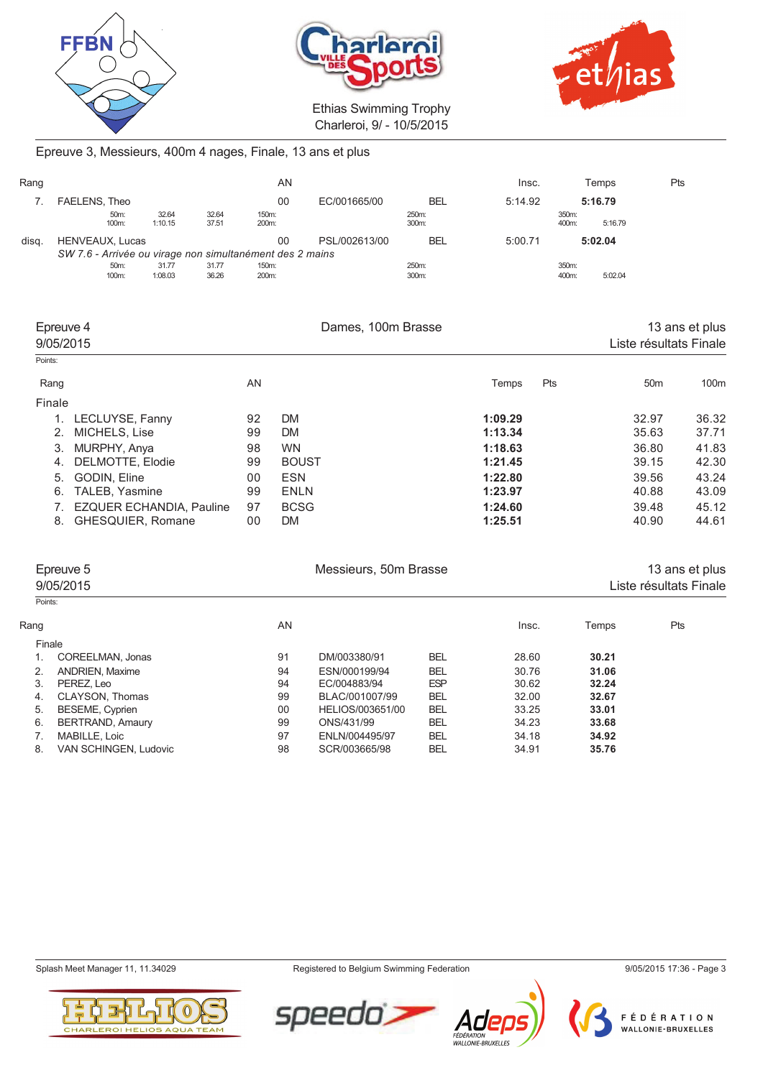





# Epreuve 3, Messieurs, 400m 4 nages, Finale, 13 ans et plus

| Rang  |                 |               |                  |                | AN                                                       |               |                | Insc.   |                | Temps   | Pts |
|-------|-----------------|---------------|------------------|----------------|----------------------------------------------------------|---------------|----------------|---------|----------------|---------|-----|
|       | FAELENS, Theo   |               |                  |                | 00                                                       | EC/001665/00  | <b>BEL</b>     | 5:14.92 |                | 5:16.79 |     |
|       |                 | 50m:<br>100m: | 32.64<br>1:10.15 | 32.64<br>37.51 | 150m:<br>200m:                                           |               | 250m:<br>300m: |         | 350m:<br>400m: | 5:16.79 |     |
| disa. | HENVEAUX, Lucas |               |                  |                | 00                                                       | PSL/002613/00 | <b>BEL</b>     | 5:00.71 |                | 5:02.04 |     |
|       |                 |               |                  |                | SW 7.6 - Arrivée ou virage non simultanément des 2 mains |               |                |         |                |         |     |
|       |                 | 50m:          | 31.77            | 31.77          | 150m:                                                    |               | 250m:          |         | 350m:          |         |     |
|       |                 | 100m:         | 1:08.03          | 36.26          | 200m:                                                    |               | 300m:          |         | 400m:          | 5:02.04 |     |

| Epreuve 4<br>9/05/2015         |                | Dames, 100m Brasse |         |     |                 | 13 ans et plus<br>Liste résultats Finale |  |
|--------------------------------|----------------|--------------------|---------|-----|-----------------|------------------------------------------|--|
| Points:                        |                |                    |         |     |                 |                                          |  |
| Rang                           | AN             |                    | Temps   | Pts | 50 <sub>m</sub> | 100 <sub>m</sub>                         |  |
| Finale                         |                |                    |         |     |                 |                                          |  |
| LECLUYSE, Fanny                | 92             | <b>DM</b>          | 1:09.29 |     | 32.97           | 36.32                                    |  |
| 2.<br>MICHELS, Lise            | 99             | <b>DM</b>          | 1:13.34 |     | 35.63           | 37.71                                    |  |
| 3.<br>MURPHY, Anya             | 98             | <b>WN</b>          | 1:18.63 |     | 36.80           | 41.83                                    |  |
| DELMOTTE, Elodie<br>4.         | 99             | <b>BOUST</b>       | 1:21.45 |     | 39.15           | 42.30                                    |  |
| GODIN, Eline<br>5.             | 0 <sub>0</sub> | <b>ESN</b>         | 1:22.80 |     | 39.56           | 43.24                                    |  |
| <b>TALEB, Yasmine</b><br>6.    | 99             | <b>ENLN</b>        | 1:23.97 |     | 40.88           | 43.09                                    |  |
| EZQUER ECHANDIA, Pauline       | 97             | <b>BCSG</b>        | 1:24.60 |     | 39.48           | 45.12                                    |  |
| <b>GHESQUIER, Romane</b><br>8. | 00             | <b>DM</b>          | 1:25.51 |     | 40.90           | 44.61                                    |  |

|         | Epreuve 5<br>9/05/2015  |    | Messieurs, 50m Brasse |            |       |       | 13 ans et plus<br>Liste résultats Finale |  |
|---------|-------------------------|----|-----------------------|------------|-------|-------|------------------------------------------|--|
| Points: |                         |    |                       |            |       |       |                                          |  |
| Rang    |                         | AN |                       |            | Insc. | Temps | Pts                                      |  |
|         | Finale                  |    |                       |            |       |       |                                          |  |
|         | COREELMAN, Jonas        | 91 | DM/003380/91          | <b>BEL</b> | 28.60 | 30.21 |                                          |  |
| 2.      | <b>ANDRIEN, Maxime</b>  | 94 | ESN/000199/94         | <b>BEL</b> | 30.76 | 31.06 |                                          |  |
| 3.      | PEREZ. Leo              | 94 | EC/004883/94          | <b>ESP</b> | 30.62 | 32.24 |                                          |  |
| 4.      | CLAYSON, Thomas         | 99 | BLAC/001007/99        | <b>BEL</b> | 32.00 | 32.67 |                                          |  |
| 5.      | <b>BESEME, Cyprien</b>  | 00 | HELIOS/003651/00      | <b>BEL</b> | 33.25 | 33.01 |                                          |  |
| 6.      | <b>BERTRAND, Amaury</b> | 99 | ONS/431/99            | <b>BEL</b> | 34.23 | 33.68 |                                          |  |
|         | MABILLE, Loic           | 97 | ENLN/004495/97        | <b>BEL</b> | 34.18 | 34.92 |                                          |  |
| 8.      | VAN SCHINGEN, Ludovic   | 98 | SCR/003665/98         | <b>BEL</b> | 34.91 | 35.76 |                                          |  |

Splash Meet Manager 11, 11.34029 **Registered to Belgium Swimming Federation** 9/05/2015 17:36 - Page 3





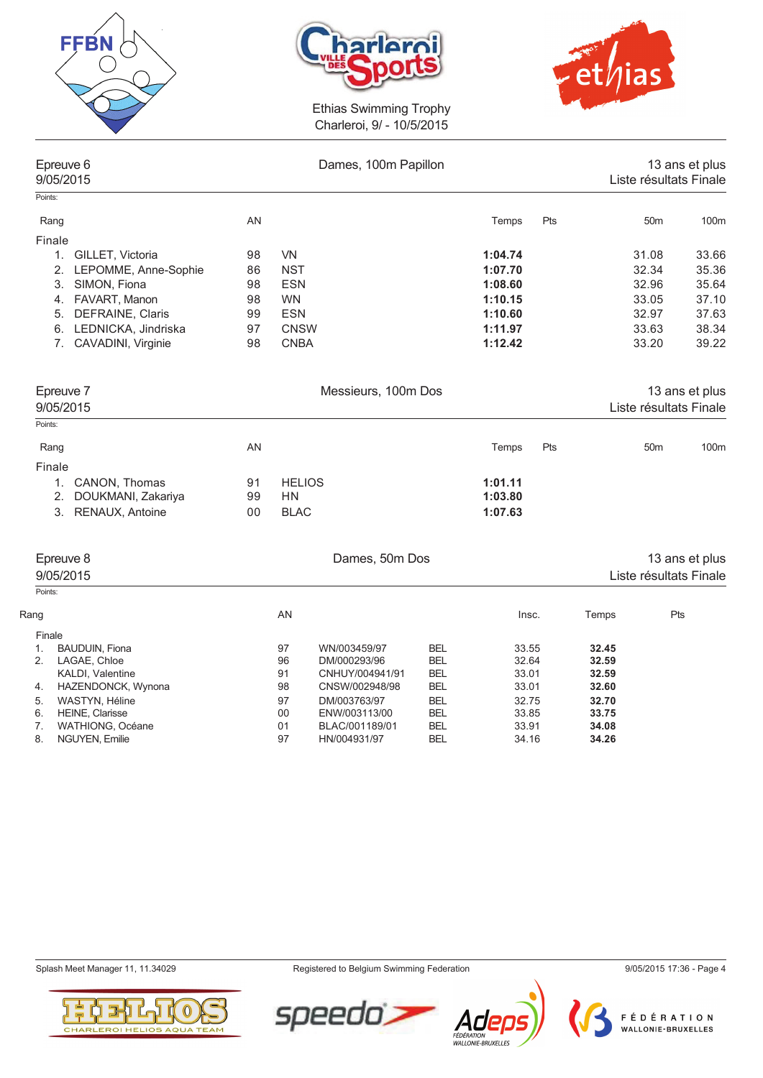





|          | Epreuve 6<br>9/05/2015                   |    |               | Dames, 100m Papillon          |                          |                |     |                |                 | 13 ans et plus<br>Liste résultats Finale |
|----------|------------------------------------------|----|---------------|-------------------------------|--------------------------|----------------|-----|----------------|-----------------|------------------------------------------|
| Points:  |                                          |    |               |                               |                          |                |     |                |                 |                                          |
| Rang     |                                          | AN |               |                               |                          | Temps          | Pts |                | 50 <sub>m</sub> | 100m                                     |
| Finale   |                                          |    |               |                               |                          |                |     |                |                 |                                          |
|          | 1. GILLET, Victoria                      | 98 | VN            |                               |                          | 1:04.74        |     |                | 31.08           | 33.66                                    |
|          | 2. LEPOMME, Anne-Sophie                  | 86 | <b>NST</b>    |                               |                          | 1:07.70        |     |                | 32.34           | 35.36                                    |
| 3.       | SIMON, Fiona                             | 98 | <b>ESN</b>    |                               |                          | 1:08.60        |     |                | 32.96           | 35.64                                    |
|          | FAVART, Manon<br>4.                      | 98 | <b>WN</b>     |                               |                          | 1:10.15        |     |                | 33.05           | 37.10                                    |
| 5.       | DEFRAINE, Claris                         | 99 | <b>ESN</b>    |                               |                          | 1:10.60        |     |                | 32.97           | 37.63                                    |
|          | 6. LEDNICKA, Jindriska                   | 97 | <b>CNSW</b>   |                               |                          | 1:11.97        |     |                | 33.63           | 38.34                                    |
|          | 7 <sup>1</sup><br>CAVADINI, Virginie     | 98 | <b>CNBA</b>   |                               |                          | 1:12.42        |     |                | 33.20           | 39.22                                    |
|          | Epreuve 7                                |    |               | Messieurs, 100m Dos           |                          |                |     |                |                 | 13 ans et plus                           |
|          | 9/05/2015                                |    |               |                               |                          |                |     |                |                 | Liste résultats Finale                   |
| Points:  |                                          |    |               |                               |                          |                |     |                |                 |                                          |
| Rang     |                                          | AN |               |                               |                          | Temps          | Pts |                | 50 <sub>m</sub> | 100m                                     |
| Finale   |                                          |    |               |                               |                          |                |     |                |                 |                                          |
|          | 1. CANON, Thomas                         | 91 | <b>HELIOS</b> |                               |                          | 1:01.11        |     |                |                 |                                          |
| 2.       | DOUKMANI, Zakariya                       | 99 | HN            |                               |                          | 1:03.80        |     |                |                 |                                          |
|          | 3. RENAUX, Antoine                       | 00 | <b>BLAC</b>   |                               |                          | 1:07.63        |     |                |                 |                                          |
|          | Epreuve 8                                |    |               | Dames, 50m Dos                |                          |                |     |                |                 | 13 ans et plus                           |
|          | 9/05/2015                                |    |               |                               |                          |                |     |                |                 | Liste résultats Finale                   |
| Points:  |                                          |    |               |                               |                          |                |     |                |                 |                                          |
| Rang     |                                          |    | AN            |                               |                          | Insc.          |     | Temps          | Pts             |                                          |
| Finale   |                                          |    |               |                               |                          |                |     |                |                 |                                          |
| 1.       | <b>BAUDUIN, Fiona</b>                    |    | 97            | WN/003459/97                  | <b>BEL</b>               | 33.55          |     | 32.45          |                 |                                          |
| 2.       | LAGAE, Chloe                             |    | 96            | DM/000293/96                  | <b>BEL</b>               | 32.64          |     | 32.59          |                 |                                          |
|          | <b>KALDI, Valentine</b>                  |    | 91            | CNHUY/004941/91               | <b>BEL</b>               | 33.01          |     | 32.59          |                 |                                          |
| 4.       | HAZENDONCK, Wynona                       |    | 98            | CNSW/002948/98                | <b>BEL</b>               | 33.01          |     | 32.60          |                 |                                          |
| 5.<br>6. | WASTYN, Héline<br><b>HEINE, Clarisse</b> |    | 97<br>00      | DM/003763/97<br>ENW/003113/00 | <b>BEL</b><br><b>BEL</b> | 32.75<br>33.85 |     | 32.70<br>33.75 |                 |                                          |
| 7.       | <b>WATHIONG, Océane</b>                  |    | 01            | BLAC/001189/01                | <b>BEL</b>               | 33.91          |     | 34.08          |                 |                                          |







8. NGUYEN, Emilie 197 BEL 34.16 and 34.16 and 34.16 and 34.16 and 34.16 and 34.16 and 34.16 and 34.16 and 34.16 and 34.16 and 34.16 and 34.16 and 35.16 and 36.16 and 36.16 and 36.16 and 36.16 and 36.16 and 36.16 and 36.16



7. WATHIONG, Océane 01 BLAC/001189/01 BEL 33.91 **34.08**



FÉDÉRATION WALLONIE-BRUXELLES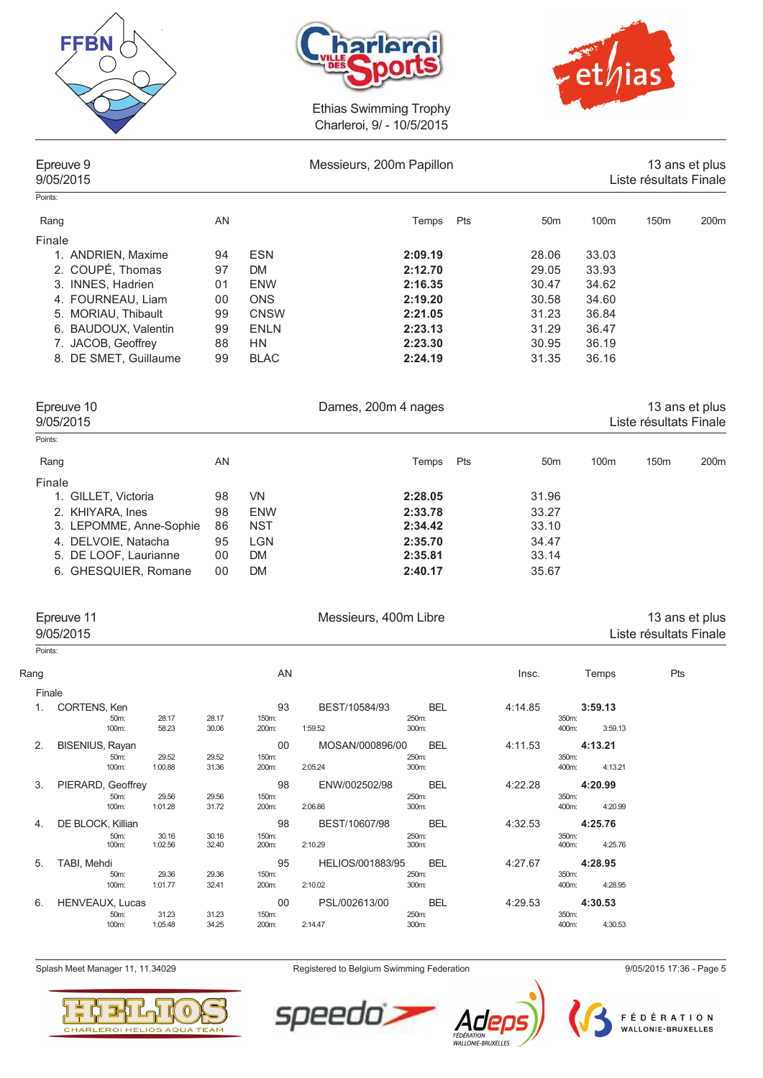





| Epreuve 9<br>9/05/2015 |    |             | Messieurs, 200m Papillon |     |                 |       | 13 ans et plus<br>Liste résultats Finale |                  |  |
|------------------------|----|-------------|--------------------------|-----|-----------------|-------|------------------------------------------|------------------|--|
| Points:                |    |             |                          |     |                 |       |                                          |                  |  |
| Rang                   | AN |             | Temps                    | Pts | 50 <sub>m</sub> | 100m  | 150 <sub>m</sub>                         | 200 <sub>m</sub> |  |
| Finale                 |    |             |                          |     |                 |       |                                          |                  |  |
| 1. ANDRIEN, Maxime     | 94 | <b>ESN</b>  | 2:09.19                  |     | 28.06           | 33.03 |                                          |                  |  |
| 2. COUPÉ, Thomas       | 97 | <b>DM</b>   | 2:12.70                  |     | 29.05           | 33.93 |                                          |                  |  |
| 3. INNES, Hadrien      | 01 | <b>ENW</b>  | 2:16.35                  |     | 30.47           | 34.62 |                                          |                  |  |
| 4. FOURNEAU, Liam      | 00 | <b>ONS</b>  | 2:19.20                  |     | 30.58           | 34.60 |                                          |                  |  |
| 5. MORIAU, Thibault    | 99 | <b>CNSW</b> | 2:21.05                  |     | 31.23           | 36.84 |                                          |                  |  |
| 6. BAUDOUX, Valentin   | 99 | <b>ENLN</b> | 2:23.13                  |     | 31.29           | 36.47 |                                          |                  |  |
| 7. JACOB, Geoffrey     | 88 | HN          | 2:23.30                  |     | 30.95           | 36.19 |                                          |                  |  |
| 8. DE SMET, Guillaume  | 99 | <b>BLAC</b> | 2:24.19                  |     | 31.35           | 36.16 |                                          |                  |  |
| Epreuve 10             |    |             | Dames, 200m 4 nages      |     |                 |       |                                          | 13 ans et plus   |  |
| 9/05/2015              |    |             |                          |     |                 |       | Liste résultats Finale                   |                  |  |
| Points:                |    |             |                          |     |                 |       |                                          |                  |  |
| Rang                   | AN |             | Temps                    | Pts | 50 <sub>m</sub> | 100m  | 150m                                     | 200 <sub>m</sub> |  |
| Finale                 |    |             |                          |     |                 |       |                                          |                  |  |

| 1. GILLET. Victoria        | 98 | VN.       | 2:28.05 | 31.96 |
|----------------------------|----|-----------|---------|-------|
| 2. KHIYARA, Ines           | 98 | ENW       | 2:33.78 | 33.27 |
| 3. LEPOMME, Anne-Sophie 86 |    | NST       | 2:34.42 | 33.10 |
| 4. DELVOIE, Natacha        | 95 | LGN       | 2:35.70 | 34.47 |
| 5. DE LOOF, Laurianne      | 00 | <b>DM</b> | 2:35.81 | 33.14 |
| 6. GHESQUIER, Romane       | 00 | DM        | 2:40.17 | 35.67 |

|         | Epreuve 11<br>9/05/2015 |       |       |       | Messieurs, 400m Libre |            |         |                             | 13 ans et plus<br>Liste résultats Finale |
|---------|-------------------------|-------|-------|-------|-----------------------|------------|---------|-----------------------------|------------------------------------------|
| Points: |                         |       |       |       |                       |            |         |                             |                                          |
| Rang    |                         |       |       | AN    |                       |            | Insc.   | Temps                       | Pts                                      |
|         | Finale                  |       |       |       |                       |            |         |                             |                                          |
|         | CORTENS, Ken            |       |       | 93    | BEST/10584/93         | <b>BEL</b> | 4:14.85 | 3:59.13                     |                                          |
|         | 50m:                    | 28.17 | 28.17 | 150m: |                       | 250m:      |         | 350m:                       |                                          |
|         | 100m                    | EO OD | 20 DC | 200m  | 1.50.52               | 200m       |         | 9.5012<br>$A\cap\cap\cdots$ |                                          |

| 50m:                   | 28.17   | 28.17                                       | 150m: |               | 250m:      |                                     | 350m:            |
|------------------------|---------|---------------------------------------------|-------|---------------|------------|-------------------------------------|------------------|
| 100m:                  | 58.23   | 30.06                                       | 200m: | 1:59.52       | 300m:      |                                     | 3:59.13<br>400m: |
| <b>BISENIUS, Rayan</b> |         |                                             | 00    |               | <b>BEL</b> | 4:11.53                             | 4:13.21          |
| 50m:                   | 29.52   | 29.52                                       | 150m: |               | 250m:      |                                     | 350m:            |
| 100m:                  | 1:00.88 | 31.36                                       | 200m: | 2:05.24       | 300m:      |                                     | 4:13.21<br>400m: |
|                        |         |                                             | 98    | ENW/002502/98 | <b>BEL</b> | 4:22.28                             | 4:20.99          |
| 50m:                   | 29.56   | 29.56                                       | 150m: |               | 250m:      |                                     | 350m:            |
| 100m:                  | 1:01.28 | 31.72                                       | 200m: | 2:06.86       | 300m:      |                                     | 4:20.99<br>400m: |
| DE BLOCK, Killian      |         |                                             | 98    | BEST/10607/98 | <b>BEL</b> | 4:32.53                             | 4:25.76          |
| 50m:                   | 30.16   | 30.16                                       | 150m: |               | 250m:      |                                     | 350m:            |
| 100m:                  | 1:02.56 | 32.40                                       | 200m: | 2:10.29       | 300m:      |                                     | 4:25.76<br>400m: |
| TABI, Mehdi            |         |                                             | 95    |               | <b>BEL</b> | 4:27.67                             | 4:28.95          |
| 50m:                   | 29.36   | 29.36                                       | 150m: |               | 250m:      |                                     | 350m:            |
| 100m:                  | 1:01.77 | 32.41                                       | 200m: | 2:10.02       | 300m:      |                                     | 4:28.95<br>400m: |
|                        |         |                                             | 00    | PSL/002613/00 | <b>BEL</b> | 4:29.53                             | 4:30.53          |
| 50m:                   | 31.23   | 31.23                                       | 150m: |               | 250m:      |                                     | 350m:            |
| 100m:                  | 1:05.48 | 34.25                                       | 200m: | 2:14.47       | 300m:      |                                     | 4:30.53<br>400m: |
|                        |         | PIERARD, Geoffrey<br><b>HENVEAUX, Lucas</b> |       |               |            | MOSAN/000896/00<br>HELIOS/001883/95 |                  |

Splash Meet Manager 11, 11.34029 **Registered to Belgium Swimming Federation** 9/05/2015 17:36 - Page 5





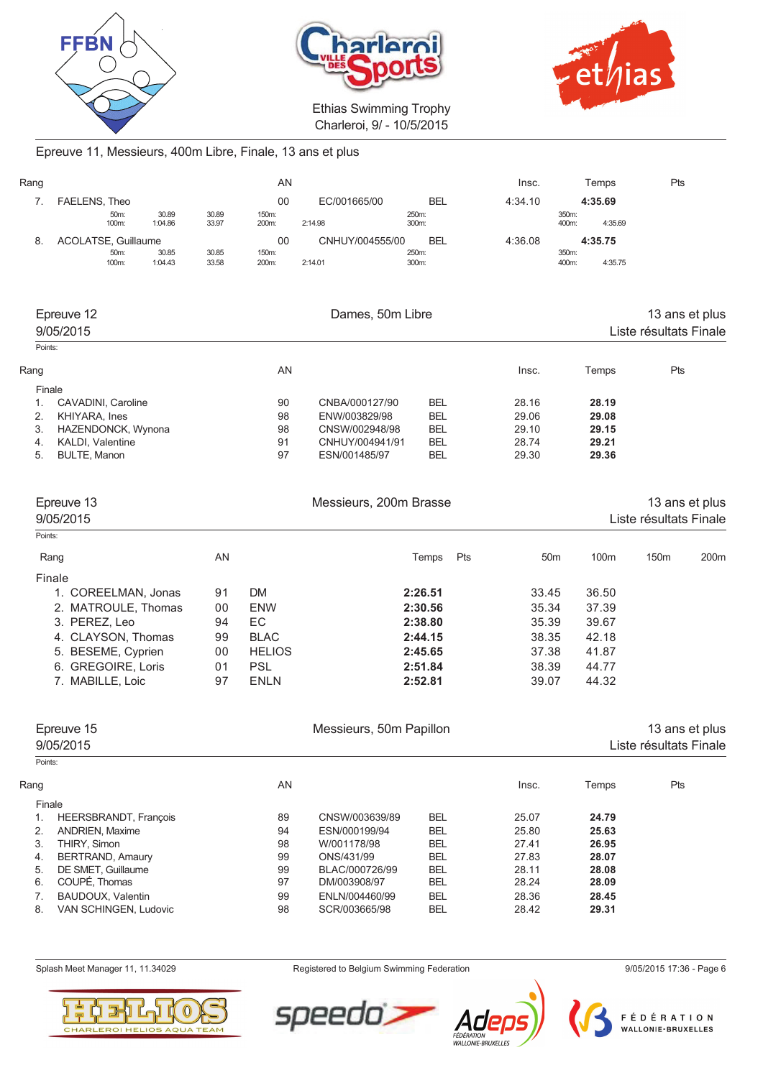





# Epreuve 11, Messieurs, 400m Libre, Finale, 13 ans et plus

| Rang                    |                         |                  |                  | AN             |                 |                | Insc.   | Temps                                    | Pts |
|-------------------------|-------------------------|------------------|------------------|----------------|-----------------|----------------|---------|------------------------------------------|-----|
| 7.                      | FAELENS, Theo           |                  |                  | 00             | EC/001665/00    | <b>BEL</b>     | 4:34.10 | 4:35.69                                  |     |
|                         | 50m:<br>100m:           | 30.89<br>1:04.86 | 30.89<br>33.97   | 150m:<br>200m: | 2:14.98         | 250m:<br>300m: |         | 350m:<br>400m:<br>4:35.69                |     |
| 8.                      | ACOLATSE, Guillaume     |                  |                  | 00             | CNHUY/004555/00 | <b>BEL</b>     | 4:36.08 | 4:35.75                                  |     |
|                         | 50m:<br>100m:           | 30.85<br>1:04.43 | 30.85<br>33.58   | 150m:<br>200m: | 2:14.01         | 250m:<br>300m: |         | 350m:<br>400m:<br>4:35.75                |     |
|                         |                         |                  |                  |                |                 |                |         |                                          |     |
| Epreuve 12<br>9/05/2015 |                         |                  | Dames, 50m Libre |                |                 |                |         | 13 ans et plus<br>Liste résultats Finale |     |
| Points:                 |                         |                  |                  |                |                 |                |         |                                          |     |
| Rang                    |                         |                  |                  | AN.            |                 |                | Insc.   | Temps                                    | Pts |
|                         | Finale                  |                  |                  |                |                 |                |         |                                          |     |
| 1.                      | CAVADINI, Caroline      |                  |                  | 90             | CNBA/000127/90  | <b>BEL</b>     | 28.16   | 28.19                                    |     |
| 2.                      | KHIYARA, Ines           |                  | 98               | ENW/003829/98  | <b>BEL</b>      | 29.06          | 29.08   |                                          |     |
| 3.                      | HAZENDONCK, Wynona      |                  |                  | 98             | CNSW/002948/98  | <b>BEL</b>     | 29.10   | 29.15                                    |     |
| 4.                      | <b>KALDI, Valentine</b> |                  |                  | 91             | CNHUY/004941/91 | <b>BEL</b>     | 28.74   | 29.21                                    |     |
| 5.                      | <b>BULTE, Manon</b>     |                  |                  | 97             | ESN/001485/97   | <b>BEL</b>     | 29.30   | 29.36                                    |     |
|                         |                         |                  |                  |                |                 |                |         |                                          |     |

| Epreuve 13<br>9/05/2015 |    |               | Messieurs, 200m Brasse |     | 13 ans et plus<br>Liste résultats Finale |                  |                  |                  |  |
|-------------------------|----|---------------|------------------------|-----|------------------------------------------|------------------|------------------|------------------|--|
| Points:                 |    |               |                        |     |                                          |                  |                  |                  |  |
| Rang                    | AN |               | Temps                  | Pts | 50 <sub>m</sub>                          | 100 <sub>m</sub> | 150 <sub>m</sub> | 200 <sub>m</sub> |  |
| Finale                  |    |               |                        |     |                                          |                  |                  |                  |  |
| 1. COREELMAN, Jonas     | 91 | DM.           | 2:26.51                |     | 33.45                                    | 36.50            |                  |                  |  |
| 2. MATROULE, Thomas     | 00 | <b>ENW</b>    | 2:30.56                |     | 35.34                                    | 37.39            |                  |                  |  |
| 3. PEREZ, Leo           | 94 | EC            | 2:38.80                |     | 35.39                                    | 39.67            |                  |                  |  |
| 4. CLAYSON, Thomas      | 99 | <b>BLAC</b>   | 2:44.15                |     | 38.35                                    | 42.18            |                  |                  |  |
| 5. BESEME, Cyprien      | 00 | <b>HELIOS</b> | 2:45.65                |     | 37.38                                    | 41.87            |                  |                  |  |
| 6. GREGOIRE, Loris      | 01 | <b>PSL</b>    | 2:51.84                |     | 38.39                                    | 44.77            |                  |                  |  |
| 7. MABILLE, Loic        | 97 | <b>ENLN</b>   | 2:52.81                |     | 39.07                                    | 44.32            |                  |                  |  |

|         | Epreuve 15<br>9/05/2015      |     | Messieurs, 50m Papillon |            |       |       | 13 ans et plus<br>Liste résultats Finale |  |  |
|---------|------------------------------|-----|-------------------------|------------|-------|-------|------------------------------------------|--|--|
| Points: |                              |     |                         |            |       |       |                                          |  |  |
| Rang    |                              | AN. |                         |            | Insc. | Temps | Pts                                      |  |  |
|         | Finale                       |     |                         |            |       |       |                                          |  |  |
|         | <b>HEERSBRANDT, François</b> | 89  | CNSW/003639/89          | <b>BEL</b> | 25.07 | 24.79 |                                          |  |  |
| 2.      | <b>ANDRIEN, Maxime</b>       | 94  | ESN/000199/94           | <b>BEL</b> | 25.80 | 25.63 |                                          |  |  |
| 3.      | THIRY, Simon                 | 98  | W/001178/98             | <b>BEL</b> | 27.41 | 26.95 |                                          |  |  |
| 4.      | <b>BERTRAND, Amaury</b>      | 99  | ONS/431/99              | <b>BEL</b> | 27.83 | 28.07 |                                          |  |  |
| 5.      | DE SMET. Guillaume           | 99  | BLAC/000726/99          | <b>BEL</b> | 28.11 | 28.08 |                                          |  |  |
| 6.      | COUPÉ, Thomas                | 97  | DM/003908/97            | <b>BEL</b> | 28.24 | 28.09 |                                          |  |  |
|         | BAUDOUX, Valentin            | 99  | ENLN/004460/99          | <b>BEL</b> | 28.36 | 28.45 |                                          |  |  |
| 8.      | VAN SCHINGEN, Ludovic        | 98  | SCR/003665/98           | <b>BEL</b> | 28.42 | 29.31 |                                          |  |  |



Splash Meet Manager 11, 11.34029 **Registered to Belgium Swimming Federation** 9/05/2015 17:36 - Page 6

speedo



FÉDÉRATION<br>WALLONIE-BRUXELLES